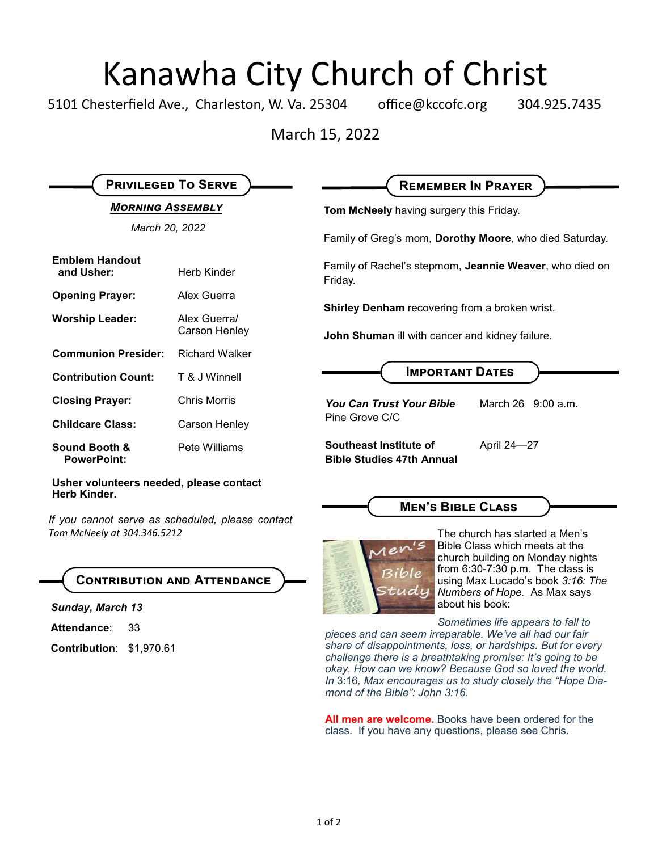## Kanawha City Church of Christ

5101 Chesterfield Ave., Charleston, W. Va. 25304 office@kccofc.org 304.925.7435

March 15, 2022

| <b>PRIVILEGED TO SERVE</b>          |                               | <b>REMEMBER IN PRAYER</b>                                                                                |
|-------------------------------------|-------------------------------|----------------------------------------------------------------------------------------------------------|
| <b>MORNING ASSEMBLY</b>             |                               | <b>Tom McNeely</b> having surgery this Friday.                                                           |
| March 20, 2022                      |                               | Family of Greg's mom, Dorothy Moore, who died Saturday.                                                  |
| <b>Emblem Handout</b><br>and Usher: | Herb Kinder                   | Family of Rachel's stepmom, Jeannie Weaver, who died on<br>Friday.                                       |
| <b>Opening Prayer:</b>              | Alex Guerra                   | <b>Shirley Denham</b> recovering from a broken wrist.<br>John Shuman ill with cancer and kidney failure. |
| <b>Worship Leader:</b>              | Alex Guerra/<br>Carson Henley |                                                                                                          |
| <b>Communion Presider:</b>          | <b>Richard Walker</b>         |                                                                                                          |
| <b>Contribution Count:</b>          | T & J Winnell                 | <b>IMPORTANT DATES</b>                                                                                   |
| <b>Closing Prayer:</b>              | <b>Chris Morris</b>           | <b>You Can Trust Your Bible</b><br>March 26 9:00 a.m.<br>Pine Grove C/C                                  |
| <b>Childcare Class:</b>             | Carson Henley                 |                                                                                                          |
| Sound Booth &<br><b>PowerPoint:</b> | Pete Williams                 | Southeast Institute of<br>April 24-27<br><b>Bible Studies 47th Annual</b>                                |

#### **Usher volunteers needed, please contact Herb Kinder.**

*If you cannot serve as scheduled, please contact Tom McNeely at 304.346.5212*

## **Contribution and Attendance**

*Sunday, March 13*

Attendance: 33

**Contribution**: \$1,970.61

## **Men's Bible Class**



The church has started a Men's Bible Class which meets at the church building on Monday nights from 6:30-7:30 p.m. The class is using Max Lucado's book *3:16: The Numbers of Hope.* As Max says about his book:

*Sometimes life appears to fall to pieces and can seem irreparable. We've all had our fair* 

*share of disappointments, loss, or hardships. But for every challenge there is a breathtaking promise: It's going to be okay. How can we know? Because God so loved the world. In* 3:16*, Max encourages us to study closely the "Hope Diamond of the Bible": John 3:16.*

**All men are welcome.** Books have been ordered for the class. If you have any questions, please see Chris.